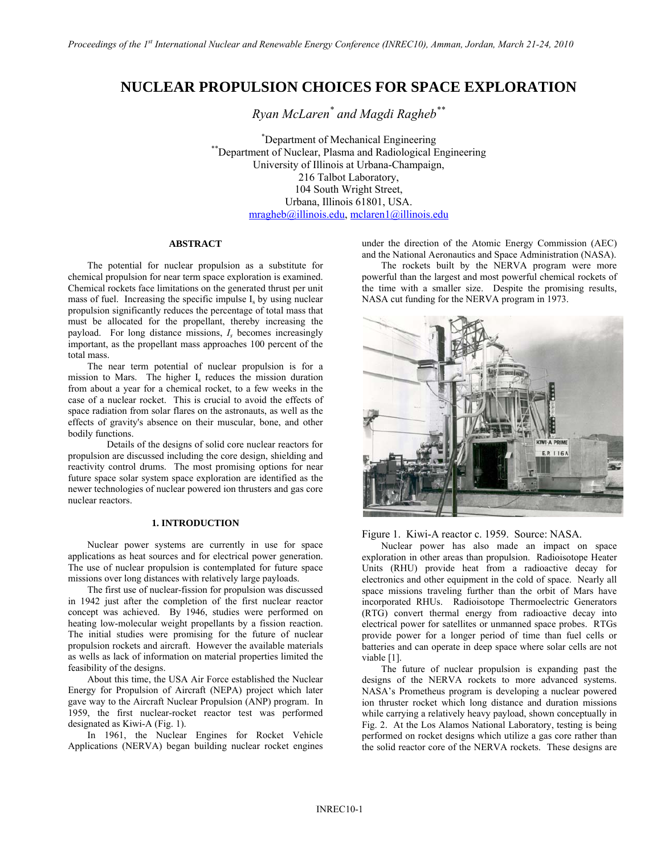# **NUCLEAR PROPULSION CHOICES FOR SPACE EXPLORATION**

*Ryan McLaren\* and Magdi Ragheb\*\** 

\*Department of Mechanical Engineering \*\*Department of Nuclear, Plasma and Radiological Engineering University of Illinois at Urbana-Champaign, 216 Talbot Laboratory, 104 South Wright Street, Urbana, Illinois 61801, USA.  $mragheb@i$ llinois.edu, mclaren1@illinois.edu

# **ABSTRACT**

 The potential for nuclear propulsion as a substitute for chemical propulsion for near term space exploration is examined. Chemical rockets face limitations on the generated thrust per unit mass of fuel. Increasing the specific impulse  $I<sub>s</sub>$  by using nuclear propulsion significantly reduces the percentage of total mass that must be allocated for the propellant, thereby increasing the payload. For long distance missions, *Is* becomes increasingly important, as the propellant mass approaches 100 percent of the total mass.

 The near term potential of nuclear propulsion is for a mission to Mars. The higher I<sub>s</sub> reduces the mission duration from about a year for a chemical rocket, to a few weeks in the case of a nuclear rocket. This is crucial to avoid the effects of space radiation from solar flares on the astronauts, as well as the effects of gravity's absence on their muscular, bone, and other bodily functions.

 Details of the designs of solid core nuclear reactors for propulsion are discussed including the core design, shielding and reactivity control drums. The most promising options for near future space solar system space exploration are identified as the newer technologies of nuclear powered ion thrusters and gas core nuclear reactors.

# **1. INTRODUCTION**

Nuclear power systems are currently in use for space applications as heat sources and for electrical power generation. The use of nuclear propulsion is contemplated for future space missions over long distances with relatively large payloads.

The first use of nuclear-fission for propulsion was discussed in 1942 just after the completion of the first nuclear reactor concept was achieved. By 1946, studies were performed on heating low-molecular weight propellants by a fission reaction. The initial studies were promising for the future of nuclear propulsion rockets and aircraft. However the available materials as wells as lack of information on material properties limited the feasibility of the designs.

About this time, the USA Air Force established the Nuclear Energy for Propulsion of Aircraft (NEPA) project which later gave way to the Aircraft Nuclear Propulsion (ANP) program. In 1959, the first nuclear-rocket reactor test was performed designated as Kiwi-A (Fig. 1).

In 1961, the Nuclear Engines for Rocket Vehicle Applications (NERVA) began building nuclear rocket engines under the direction of the Atomic Energy Commission (AEC) and the National Aeronautics and Space Administration (NASA).

 The rockets built by the NERVA program were more powerful than the largest and most powerful chemical rockets of the time with a smaller size. Despite the promising results, NASA cut funding for the NERVA program in 1973.



Figure 1. Kiwi-A reactor c. 1959. Source: NASA.

 Nuclear power has also made an impact on space exploration in other areas than propulsion. Radioisotope Heater Units (RHU) provide heat from a radioactive decay for electronics and other equipment in the cold of space. Nearly all space missions traveling further than the orbit of Mars have incorporated RHUs. Radioisotope Thermoelectric Generators (RTG) convert thermal energy from radioactive decay into electrical power for satellites or unmanned space probes. RTGs provide power for a longer period of time than fuel cells or batteries and can operate in deep space where solar cells are not viable [1].

The future of nuclear propulsion is expanding past the designs of the NERVA rockets to more advanced systems. NASA's Prometheus program is developing a nuclear powered ion thruster rocket which long distance and duration missions while carrying a relatively heavy payload, shown conceptually in Fig. 2. At the Los Alamos National Laboratory, testing is being performed on rocket designs which utilize a gas core rather than the solid reactor core of the NERVA rockets. These designs are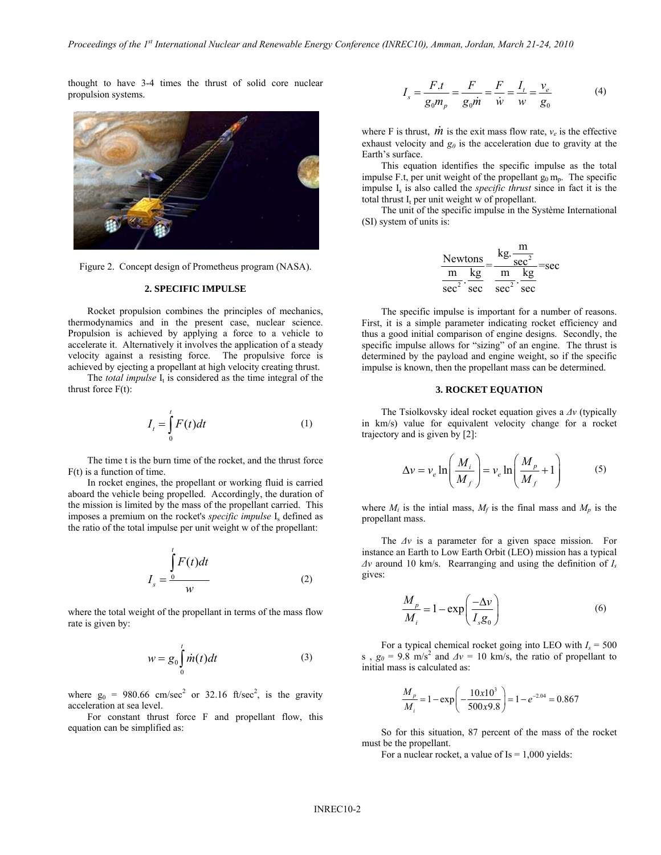thought to have 3-4 times the thrust of solid core nuclear propulsion systems.



Figure 2. Concept design of Prometheus program (NASA).

#### **2. SPECIFIC IMPULSE**

 Rocket propulsion combines the principles of mechanics, thermodynamics and in the present case, nuclear science. Propulsion is achieved by applying a force to a vehicle to accelerate it. Alternatively it involves the application of a steady velocity against a resisting force. The propulsive force is achieved by ejecting a propellant at high velocity creating thrust.

The *total impulse*  $I_t$  is considered as the time integral of the thrust force  $F(t)$ :

$$
I_t = \int_0^t F(t)dt
$$
 (1)

 The time t is the burn time of the rocket, and the thrust force F(t) is a function of time.

 In rocket engines, the propellant or working fluid is carried aboard the vehicle being propelled. Accordingly, the duration of the mission is limited by the mass of the propellant carried. This imposes a premium on the rocket's *specific impulse* I<sub>s</sub> defined as the ratio of the total impulse per unit weight w of the propellant:

$$
I_s = \frac{\int_0^t F(t)dt}{w}
$$
 (2)

where the total weight of the propellant in terms of the mass flow rate is given by:

$$
w = g_0 \int_0^t \dot{m}(t) dt
$$
 (3)

where  $g_0 = 980.66$  cm/sec<sup>2</sup> or 32.16 ft/sec<sup>2</sup>, is the gravity acceleration at sea level.

 For constant thrust force F and propellant flow, this equation can be simplified as:

$$
I_s = \frac{F \cdot t}{g_0 m_p} = \frac{F}{g_0 m} = \frac{F}{\dot{w}} = \frac{I_t}{w} = \frac{v_e}{g_0}
$$
(4)

where F is thrust,  $\dot{m}$  is the exit mass flow rate,  $v_e$  is the effective exhaust velocity and  $g_0$  is the acceleration due to gravity at the Earth's surface.

 This equation identifies the specific impulse as the total impulse F.t, per unit weight of the propellant  $g_0 m_p$ . The specific impulse Is is also called the *specific thrust* since in fact it is the total thrust  $I_t$  per unit weight w of propellant.

 The unit of the specific impulse in the Système International (SI) system of units is:

$$
\frac{\text{Newtons}}{\frac{\text{m}}{\text{sec}^2} \cdot \frac{\text{kg}}{\text{sec}}} = \frac{\text{kg} \cdot \frac{\text{m}}{\text{sec}^2}}{\text{m} \cdot \frac{\text{kg}}{\text{sec}}} = \text{sec}
$$

 The specific impulse is important for a number of reasons. First, it is a simple parameter indicating rocket efficiency and thus a good initial comparison of engine designs. Secondly, the specific impulse allows for "sizing" of an engine. The thrust is determined by the payload and engine weight, so if the specific impulse is known, then the propellant mass can be determined.

## **3. ROCKET EQUATION**

 The Tsiolkovsky ideal rocket equation gives a *Δv* (typically in km/s) value for equivalent velocity change for a rocket trajectory and is given by [2]:

$$
\Delta v = v_e \ln \left( \frac{M_i}{M_f} \right) = v_e \ln \left( \frac{M_p}{M_f} + 1 \right) \tag{5}
$$

where  $M_i$  is the intial mass,  $M_f$  is the final mass and  $M_p$  is the propellant mass.

 The *Δv* is a parameter for a given space mission. For instance an Earth to Low Earth Orbit (LEO) mission has a typical *Δv* around 10 km/s. Rearranging and using the definition of *Is* gives:

$$
\frac{M_p}{M_i} = 1 - \exp\left(\frac{-\Delta \nu}{I_s g_0}\right) \tag{6}
$$

For a typical chemical rocket going into LEO with  $I_s = 500$ s,  $g_0 = 9.8$  m/s<sup>2</sup> and  $\Delta v = 10$  km/s, the ratio of propellant to initial mass is calculated as:

$$
\frac{M_p}{M_i} = 1 - \exp\left(-\frac{10x10^3}{500x9.8}\right) = 1 - e^{-2.04} = 0.867
$$

 So for this situation, 87 percent of the mass of the rocket must be the propellant.

For a nuclear rocket, a value of  $Is = 1,000$  yields: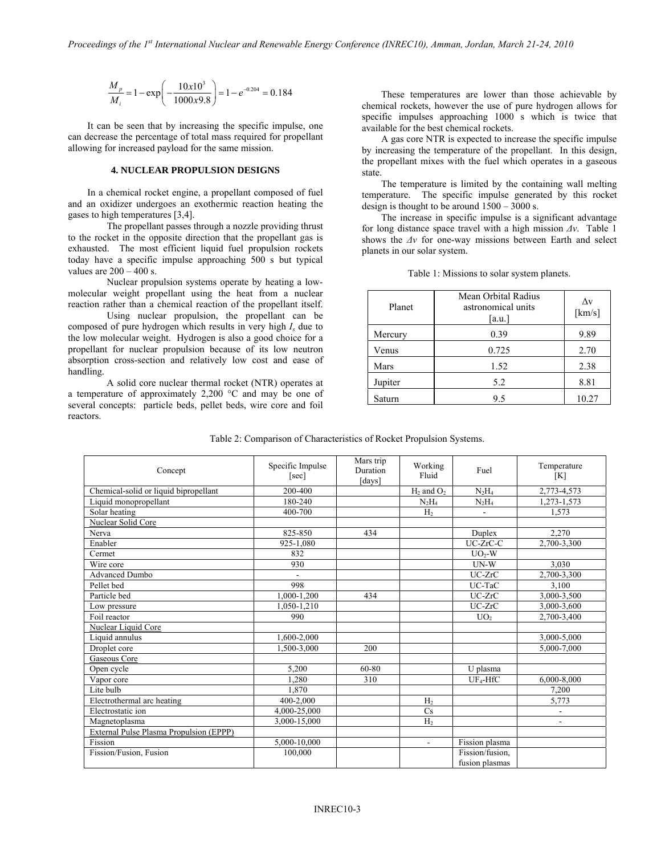$$
\frac{M_p}{M_i} = 1 - \exp\left(-\frac{10x10^3}{1000x9.8}\right) = 1 - e^{-0.204} = 0.184
$$

 It can be seen that by increasing the specific impulse, one can decrease the percentage of total mass required for propellant allowing for increased payload for the same mission.

#### **4. NUCLEAR PROPULSION DESIGNS**

 In a chemical rocket engine, a propellant composed of fuel and an oxidizer undergoes an exothermic reaction heating the gases to high temperatures [3,4].

 The propellant passes through a nozzle providing thrust to the rocket in the opposite direction that the propellant gas is exhausted. The most efficient liquid fuel propulsion rockets today have a specific impulse approaching 500 s but typical values are  $200 - 400$  s.

 Nuclear propulsion systems operate by heating a lowmolecular weight propellant using the heat from a nuclear reaction rather than a chemical reaction of the propellant itself.

 Using nuclear propulsion, the propellant can be composed of pure hydrogen which results in very high *Is* due to the low molecular weight. Hydrogen is also a good choice for a propellant for nuclear propulsion because of its low neutron absorption cross-section and relatively low cost and ease of handling.

 A solid core nuclear thermal rocket (NTR) operates at a temperature of approximately 2,200 °C and may be one of several concepts: particle beds, pellet beds, wire core and foil reactors.

 These temperatures are lower than those achievable by chemical rockets, however the use of pure hydrogen allows for specific impulses approaching 1000 s which is twice that available for the best chemical rockets.

 A gas core NTR is expected to increase the specific impulse by increasing the temperature of the propellant. In this design, the propellant mixes with the fuel which operates in a gaseous state.

 The temperature is limited by the containing wall melting temperature. The specific impulse generated by this rocket design is thought to be around 1500 – 3000 s.

 The increase in specific impulse is a significant advantage for long distance space travel with a high mission *Δv*. Table 1 shows the *Δv* for one-way missions between Earth and select planets in our solar system.

| Planet  | Mean Orbital Radius<br>astronomical units<br>[a.u.] | Δv<br>[km/s] |
|---------|-----------------------------------------------------|--------------|
| Mercury | 0.39                                                | 9.89         |
| Venus   | 0.725                                               | 2.70         |
| Mars    | 1.52                                                | 2.38         |
| Jupiter | 5.2                                                 | 8.81         |
| Saturn  | 9.5                                                 | 10.27        |

Table 1: Missions to solar system planets.

| Concept                                        | Specific Impulse<br>[sec] | Mars trip<br>Duration<br>[days] | Working<br>Fluid | Fuel                              | Temperature<br>[K]       |
|------------------------------------------------|---------------------------|---------------------------------|------------------|-----------------------------------|--------------------------|
| Chemical-solid or liquid bipropellant          | 200-400                   |                                 | $H_2$ and $O_2$  | $N_2H_4$                          | 2,773-4,573              |
| Liquid monopropellant                          | 180-240                   |                                 | $N_2H_4$         | $N_2H_4$                          | 1,273-1,573              |
| Solar heating                                  | 400-700                   |                                 | H <sub>2</sub>   | $\overline{\phantom{a}}$          | 1.573                    |
| <b>Nuclear Solid Core</b>                      |                           |                                 |                  |                                   |                          |
| Nerva                                          | 825-850                   | 434                             |                  | Duplex                            | 2,270                    |
| Enabler                                        | 925-1,080                 |                                 |                  | UC-ZrC-C                          | 2,700-3,300              |
| Cermet                                         | 832                       |                                 |                  | $UO2-W$                           |                          |
| Wire core                                      | 930                       |                                 |                  | $UN-W$                            | 3.030                    |
| <b>Advanced Dumbo</b>                          | $\blacksquare$            |                                 |                  | $UC-ZrC$                          | 2,700-3,300              |
| Pellet bed                                     | 998                       |                                 |                  | UC-TaC                            | 3,100                    |
| Particle bed                                   | 1,000-1,200               | 434                             |                  | $UC-ZrC$                          | 3,000-3,500              |
| Low pressure                                   | 1,050-1,210               |                                 |                  | UC-ZrC                            | 3,000-3,600              |
| Foil reactor                                   | 990                       |                                 |                  | UO <sub>2</sub>                   | 2,700-3,400              |
| Nuclear Liquid Core                            |                           |                                 |                  |                                   |                          |
| Liquid annulus                                 | 1,600-2,000               |                                 |                  |                                   | 3,000-5,000              |
| Droplet core                                   | 1,500-3,000               | 200                             |                  |                                   | 5,000-7,000              |
| <b>Gaseous Core</b>                            |                           |                                 |                  |                                   |                          |
| Open cycle                                     | 5,200                     | 60-80                           |                  | U plasma                          |                          |
| Vapor core                                     | 1.280                     | 310                             |                  | $UF_4-HfC$                        | 6,000-8,000              |
| Lite bulb                                      | 1.870                     |                                 |                  |                                   | 7.200                    |
| Electrothermal arc heating                     | 400-2,000                 |                                 | H <sub>2</sub>   |                                   | 5,773                    |
| Electrostatic ion                              | 4,000-25,000              |                                 | Cs               |                                   | $\overline{\phantom{a}}$ |
| Magnetoplasma                                  | 3.000-15.000              |                                 | H <sub>2</sub>   |                                   | $\overline{\phantom{a}}$ |
| <b>External Pulse Plasma Propulsion (EPPP)</b> |                           |                                 |                  |                                   |                          |
| Fission                                        | 5,000-10,000              |                                 | ÷.               | Fission plasma                    |                          |
| Fission/Fusion, Fusion                         | 100,000                   |                                 |                  | Fission/fusion,<br>fusion plasmas |                          |

Table 2: Comparison of Characteristics of Rocket Propulsion Systems.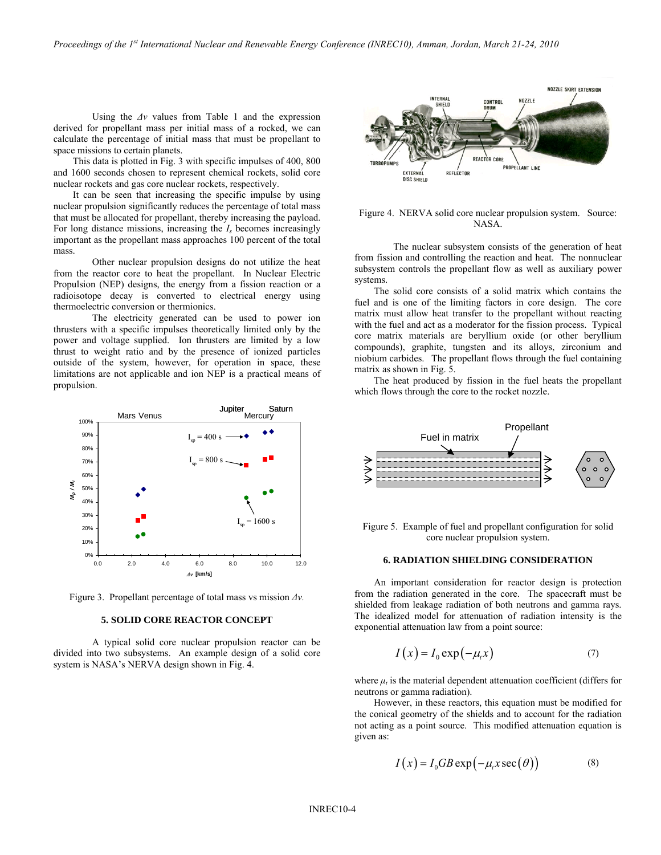Using the *Δv* values from Table 1 and the expression derived for propellant mass per initial mass of a rocked, we can calculate the percentage of initial mass that must be propellant to space missions to certain planets.

 This data is plotted in Fig. 3 with specific impulses of 400, 800 and 1600 seconds chosen to represent chemical rockets, solid core nuclear rockets and gas core nuclear rockets, respectively.

 It can be seen that increasing the specific impulse by using nuclear propulsion significantly reduces the percentage of total mass that must be allocated for propellant, thereby increasing the payload. For long distance missions, increasing the *Is* becomes increasingly important as the propellant mass approaches 100 percent of the total mass.

 Other nuclear propulsion designs do not utilize the heat from the reactor core to heat the propellant. In Nuclear Electric Propulsion (NEP) designs, the energy from a fission reaction or a radioisotope decay is converted to electrical energy using thermoelectric conversion or thermionics.

 The electricity generated can be used to power ion thrusters with a specific impulses theoretically limited only by the power and voltage supplied. Ion thrusters are limited by a low thrust to weight ratio and by the presence of ionized particles outside of the system, however, for operation in space, these limitations are not applicable and ion NEP is a practical means of propulsion.



Figure 3. Propellant percentage of total mass vs mission *Δv.*

#### **5. SOLID CORE REACTOR CONCEPT**

 A typical solid core nuclear propulsion reactor can be divided into two subsystems. An example design of a solid core system is NASA's NERVA design shown in Fig. 4.



## Figure 4. NERVA solid core nuclear propulsion system. Source: NASA.

 The nuclear subsystem consists of the generation of heat from fission and controlling the reaction and heat. The nonnuclear subsystem controls the propellant flow as well as auxiliary power systems.

 The solid core consists of a solid matrix which contains the fuel and is one of the limiting factors in core design. The core matrix must allow heat transfer to the propellant without reacting with the fuel and act as a moderator for the fission process. Typical core matrix materials are beryllium oxide (or other beryllium compounds), graphite, tungsten and its alloys, zirconium and niobium carbides. The propellant flows through the fuel containing matrix as shown in Fig. 5.

 The heat produced by fission in the fuel heats the propellant which flows through the core to the rocket nozzle.



Figure 5. Example of fuel and propellant configuration for solid core nuclear propulsion system.

#### **6. RADIATION SHIELDING CONSIDERATION**

 An important consideration for reactor design is protection from the radiation generated in the core. The spacecraft must be shielded from leakage radiation of both neutrons and gamma rays. The idealized model for attenuation of radiation intensity is the exponential attenuation law from a point source:

$$
I(x) = I_0 \exp(-\mu_t x) \tag{7}
$$

where  $\mu_t$  is the material dependent attenuation coefficient (differs for neutrons or gamma radiation).

 However, in these reactors, this equation must be modified for the conical geometry of the shields and to account for the radiation not acting as a point source. This modified attenuation equation is given as:

$$
I(x) = I_0GB \exp(-\mu_t x \sec(\theta))
$$
 (8)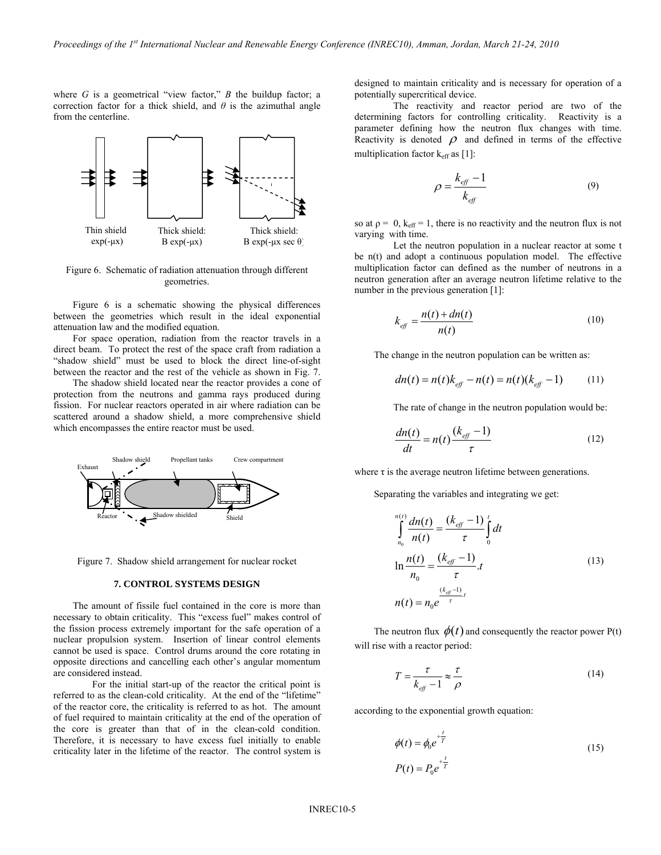where  $G$  is a geometrical "view factor,"  $B$  the buildup factor; a correction factor for a thick shield, and  $\theta$  is the azimuthal angle from the centerline.



Figure 6. Schematic of radiation attenuation through different geometries.

Figure 6 is a schematic showing the physical differences between the geometries which result in the ideal exponential attenuation law and the modified equation.

 For space operation, radiation from the reactor travels in a direct beam. To protect the rest of the space craft from radiation a "shadow shield" must be used to block the direct line-of-sight between the reactor and the rest of the vehicle as shown in Fig. 7.

 The shadow shield located near the reactor provides a cone of protection from the neutrons and gamma rays produced during fission. For nuclear reactors operated in air where radiation can be scattered around a shadow shield, a more comprehensive shield which encompasses the entire reactor must be used.



Figure 7. Shadow shield arrangement for nuclear rocket

#### **7. CONTROL SYSTEMS DESIGN**

 The amount of fissile fuel contained in the core is more than necessary to obtain criticality. This "excess fuel" makes control of the fission process extremely important for the safe operation of a nuclear propulsion system. Insertion of linear control elements cannot be used is space. Control drums around the core rotating in opposite directions and cancelling each other's angular momentum are considered instead.

 For the initial start-up of the reactor the critical point is referred to as the clean-cold criticality. At the end of the "lifetime" of the reactor core, the criticality is referred to as hot. The amount of fuel required to maintain criticality at the end of the operation of the core is greater than that of in the clean-cold condition. Therefore, it is necessary to have excess fuel initially to enable criticality later in the lifetime of the reactor. The control system is

designed to maintain criticality and is necessary for operation of a potentially supercritical device.

 The reactivity and reactor period are two of the determining factors for controlling criticality. Reactivity is a parameter defining how the neutron flux changes with time. Reactivity is denoted  $\rho$  and defined in terms of the effective multiplication factor  $k_{\text{eff}}$  as [1]:

$$
\rho = \frac{k_{\text{eff}} - 1}{k_{\text{eff}}} \tag{9}
$$

so at  $p = 0$ ,  $k_{\text{eff}} = 1$ , there is no reactivity and the neutron flux is not varying with time.

 Let the neutron population in a nuclear reactor at some t be n(t) and adopt a continuous population model. The effective multiplication factor can defined as the number of neutrons in a neutron generation after an average neutron lifetime relative to the number in the previous generation [1]:

$$
k_{\text{eff}} = \frac{n(t) + dn(t)}{n(t)}\tag{10}
$$

The change in the neutron population can be written as:

$$
dn(t) = n(t)k_{\text{eff}} - n(t) = n(t)(k_{\text{eff}} - 1)
$$
 (11)

The rate of change in the neutron population would be:

$$
\frac{dn(t)}{dt} = n(t)\frac{(k_{\text{eff}} - 1)}{\tau} \tag{12}
$$

where  $\tau$  is the average neutron lifetime between generations.

Separating the variables and integrating we get:

$$
\int_{n_0}^{n(t)} \frac{dn(t)}{n(t)} = \frac{(k_{\text{eff}} - 1)}{\tau} \int_{0}^{t} dt
$$
\n
$$
\ln \frac{n(t)}{n_0} = \frac{(k_{\text{eff}} - 1)}{\tau} \cdot t
$$
\n
$$
n(t) = n_0 e^{\frac{(k_{\text{eff}} - 1)}{\tau} \cdot t}
$$
\n(13)

The neutron flux  $\phi(t)$  and consequently the reactor power P(t) will rise with a reactor period:

$$
T = \frac{\tau}{k_{\text{eff}} - 1} \approx \frac{\tau}{\rho} \tag{14}
$$

according to the exponential growth equation:

$$
\phi(t) = \phi_0 e^{+\frac{t}{T}}
$$
\n
$$
P(t) = P_0 e^{+\frac{t}{T}}
$$
\n(15)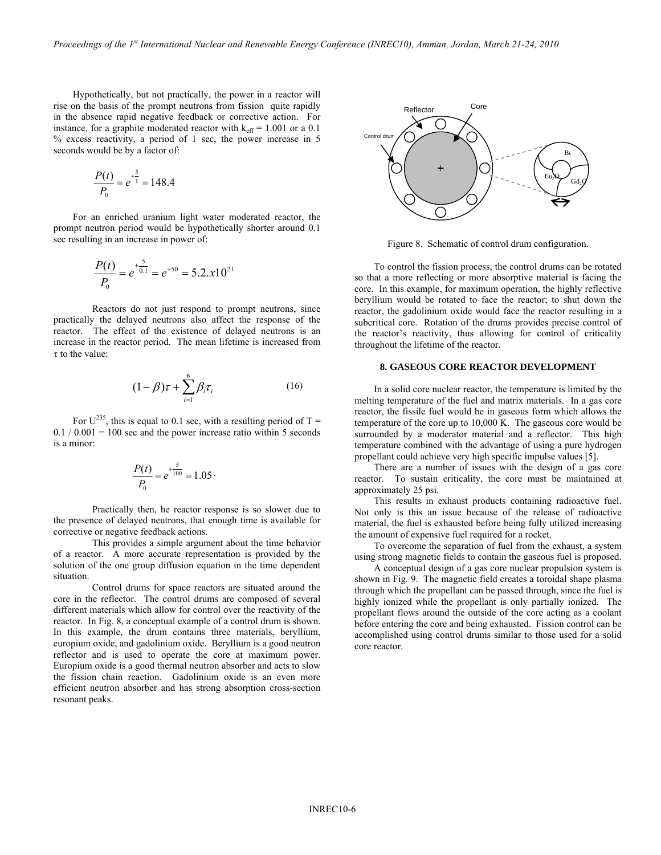Hypothetically, but not practically, the power in a reactor will rise on the basis of the prompt neutrons from fission quite rapidly in the absence rapid negative feedback or corrective action. For instance, for a graphite moderated reactor with  $k_{\text{eff}} = 1.001$  or a 0.1 % excess reactivity, a period of 1 sec, the power increase in 5 seconds would be by a factor of:

$$
\frac{P(t)}{P_0} = e^{\frac{5}{1}} = 148.4
$$

 For an enriched uranium light water moderated reactor, the prompt neutron period would be hypothetically shorter around 0.1 sec resulting in an increase in power of:

$$
\frac{P(t)}{P_0} = e^{+\frac{5}{0.1}} = e^{+50} = 5.2 \cdot x 10^{21}
$$

 Reactors do not just respond to prompt neutrons, since practically the delayed neutrons also affect the response of the reactor. The effect of the existence of delayed neutrons is an increase in the reactor period. The mean lifetime is increased from  $\tau$  to the value:

$$
(1 - \beta)\tau + \sum_{i=1}^{6} \beta_i \tau_i \tag{16}
$$

For  $U^{235}$ , this is equal to 0.1 sec, with a resulting period of T =  $0.1 / 0.001 = 100$  sec and the power increase ratio within 5 seconds is a minor:

$$
\frac{P(t)}{P_0} = e^{+\frac{5}{100}} = 1.05
$$

 Practically then, he reactor response is so slower due to the presence of delayed neutrons, that enough time is available for corrective or negative feedback actions.

 This provides a simple argument about the time behavior of a reactor. A more accurate representation is provided by the solution of the one group diffusion equation in the time dependent situation.

 Control drums for space reactors are situated around the core in the reflector. The control drums are composed of several different materials which allow for control over the reactivity of the reactor. In Fig. 8, a conceptual example of a control drum is shown. In this example, the drum contains three materials, beryllium, europium oxide, and gadolinium oxide. Beryllium is a good neutron reflector and is used to operate the core at maximum power. Europium oxide is a good thermal neutron absorber and acts to slow the fission chain reaction. Gadolinium oxide is an even more efficient neutron absorber and has strong absorption cross-section resonant peaks.



Figure 8. Schematic of control drum configuration.

 To control the fission process, the control drums can be rotated so that a more reflecting or more absorptive material is facing the core. In this example, for maximum operation, the highly reflective beryllium would be rotated to face the reactor; to shut down the reactor, the gadolinium oxide would face the reactor resulting in a subcritical core. Rotation of the drums provides precise control of the reactor's reactivity, thus allowing for control of criticality throughout the lifetime of the reactor.

## **8. GASEOUS CORE REACTOR DEVELOPMENT**

In a solid core nuclear reactor, the temperature is limited by the melting temperature of the fuel and matrix materials. In a gas core reactor, the fissile fuel would be in gaseous form which allows the temperature of the core up to 10,000 K. The gaseous core would be surrounded by a moderator material and a reflector. This high temperature combined with the advantage of using a pure hydrogen propellant could achieve very high specific impulse values [5].

 There are a number of issues with the design of a gas core reactor. To sustain criticality, the core must be maintained at approximately 25 psi.

 This results in exhaust products containing radioactive fuel. Not only is this an issue because of the release of radioactive material, the fuel is exhausted before being fully utilized increasing the amount of expensive fuel required for a rocket.

 To overcome the separation of fuel from the exhaust, a system using strong magnetic fields to contain the gaseous fuel is proposed.

 A conceptual design of a gas core nuclear propulsion system is shown in Fig. 9. The magnetic field creates a toroidal shape plasma through which the propellant can be passed through, since the fuel is highly ionized while the propellant is only partially ionized. The propellant flows around the outside of the core acting as a coolant before entering the core and being exhausted. Fission control can be accomplished using control drums similar to those used for a solid core reactor.